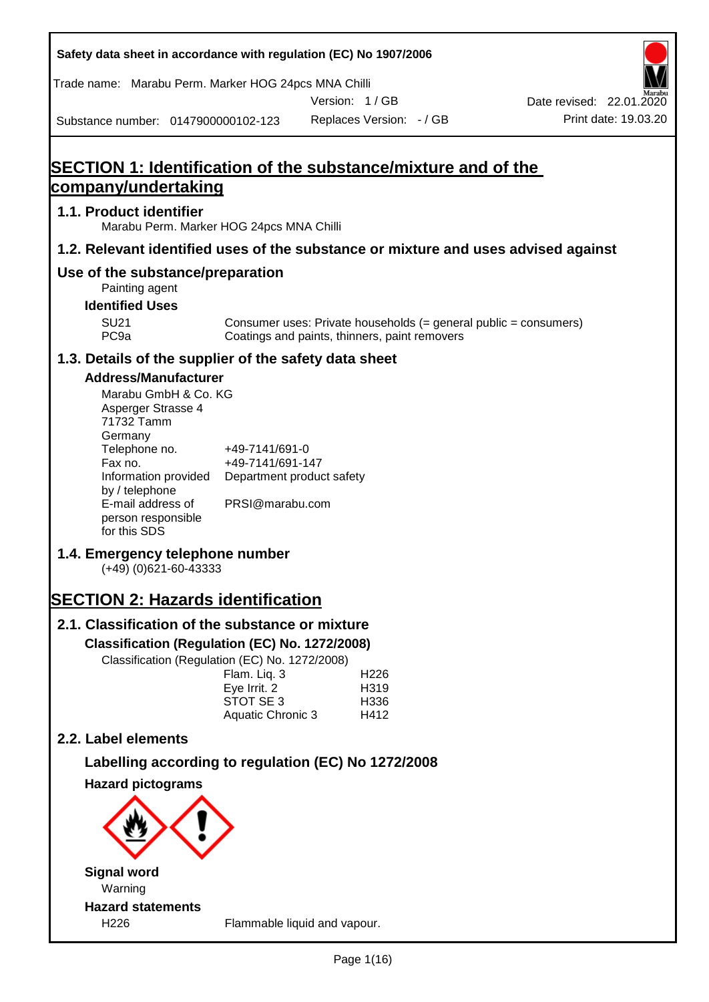| Safety data sheet in accordance with regulation (EC) No 1907/2006                                                                                                                                                                                                                                                                                                                                                                                                                                    |                                                                                                                                 |                                               |                                                                  |                                                  |
|------------------------------------------------------------------------------------------------------------------------------------------------------------------------------------------------------------------------------------------------------------------------------------------------------------------------------------------------------------------------------------------------------------------------------------------------------------------------------------------------------|---------------------------------------------------------------------------------------------------------------------------------|-----------------------------------------------|------------------------------------------------------------------|--------------------------------------------------|
| Trade name: Marabu Perm. Marker HOG 24pcs MNA Chilli                                                                                                                                                                                                                                                                                                                                                                                                                                                 |                                                                                                                                 |                                               |                                                                  |                                                  |
| Substance number: 0147900000102-123                                                                                                                                                                                                                                                                                                                                                                                                                                                                  |                                                                                                                                 | Version: 1/GB<br>Replaces Version: - / GB     |                                                                  | Date revised: 22.01.2020<br>Print date: 19.03.20 |
|                                                                                                                                                                                                                                                                                                                                                                                                                                                                                                      |                                                                                                                                 |                                               |                                                                  |                                                  |
| SECTION 1: Identification of the substance/mixture and of the                                                                                                                                                                                                                                                                                                                                                                                                                                        |                                                                                                                                 |                                               |                                                                  |                                                  |
| company/undertaking                                                                                                                                                                                                                                                                                                                                                                                                                                                                                  |                                                                                                                                 |                                               |                                                                  |                                                  |
| 1.1. Product identifier<br>Marabu Perm. Marker HOG 24pcs MNA Chilli                                                                                                                                                                                                                                                                                                                                                                                                                                  |                                                                                                                                 |                                               |                                                                  |                                                  |
| 1.2. Relevant identified uses of the substance or mixture and uses advised against                                                                                                                                                                                                                                                                                                                                                                                                                   |                                                                                                                                 |                                               |                                                                  |                                                  |
| Use of the substance/preparation<br>Painting agent                                                                                                                                                                                                                                                                                                                                                                                                                                                   |                                                                                                                                 |                                               |                                                                  |                                                  |
| <b>Identified Uses</b><br><b>SU21</b>                                                                                                                                                                                                                                                                                                                                                                                                                                                                |                                                                                                                                 |                                               |                                                                  |                                                  |
| PC <sub>9a</sub>                                                                                                                                                                                                                                                                                                                                                                                                                                                                                     |                                                                                                                                 | Coatings and paints, thinners, paint removers | Consumer uses: Private households (= general public = consumers) |                                                  |
| 1.3. Details of the supplier of the safety data sheet                                                                                                                                                                                                                                                                                                                                                                                                                                                |                                                                                                                                 |                                               |                                                                  |                                                  |
| <b>Address/Manufacturer</b><br>Marabu GmbH & Co. KG<br>Asperger Strasse 4<br>71732 Tamm<br>Germany<br>Telephone no.<br>Fax no.<br>Information provided<br>by / telephone<br>E-mail address of<br>person responsible<br>for this SDS<br>1.4. Emergency telephone number<br>$(+49)$ (0)621-60-43333<br><b>SECTION 2: Hazards identification</b><br>2.1. Classification of the substance or mixture<br>Classification (Regulation (EC) No. 1272/2008)<br>Classification (Regulation (EC) No. 1272/2008) | +49-7141/691-0<br>+49-7141/691-147<br>Department product safety<br>PRSI@marabu.com<br>Flam. Liq. 3<br>Eye Irrit. 2<br>STOT SE 3 | H <sub>226</sub><br>H319<br>H336              |                                                                  |                                                  |
|                                                                                                                                                                                                                                                                                                                                                                                                                                                                                                      | Aquatic Chronic 3                                                                                                               | H412                                          |                                                                  |                                                  |
| 2.2. Label elements                                                                                                                                                                                                                                                                                                                                                                                                                                                                                  |                                                                                                                                 |                                               |                                                                  |                                                  |
| Labelling according to regulation (EC) No 1272/2008<br><b>Hazard pictograms</b>                                                                                                                                                                                                                                                                                                                                                                                                                      |                                                                                                                                 |                                               |                                                                  |                                                  |
|                                                                                                                                                                                                                                                                                                                                                                                                                                                                                                      |                                                                                                                                 |                                               |                                                                  |                                                  |
| <b>Signal word</b><br>Warning                                                                                                                                                                                                                                                                                                                                                                                                                                                                        |                                                                                                                                 |                                               |                                                                  |                                                  |
| <b>Hazard statements</b><br>H226                                                                                                                                                                                                                                                                                                                                                                                                                                                                     | Flammable liquid and vapour.                                                                                                    |                                               |                                                                  |                                                  |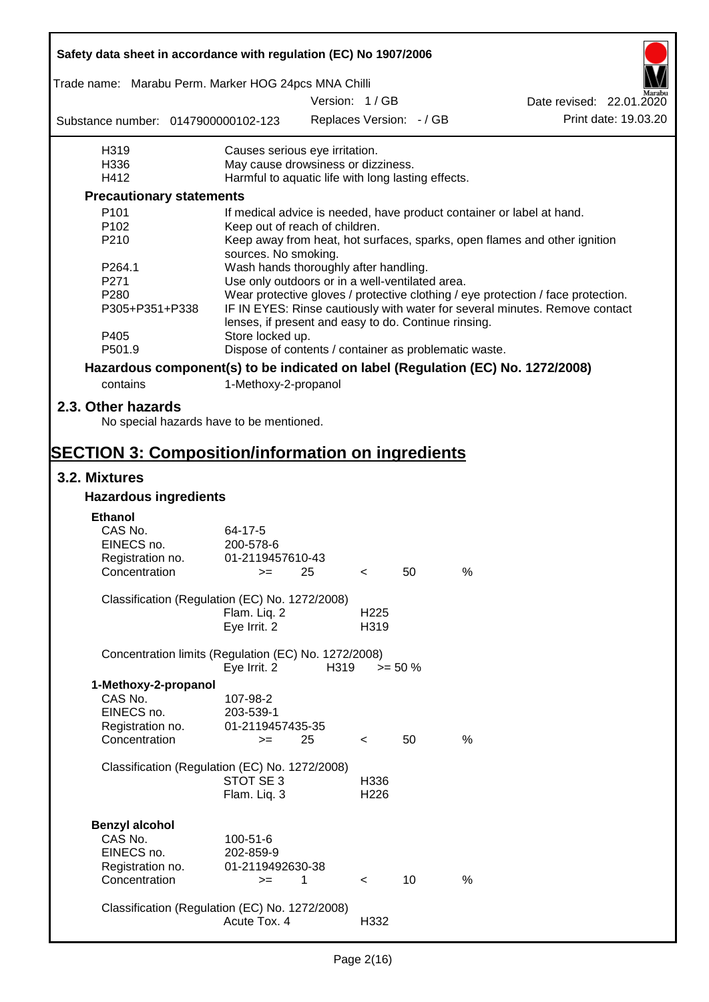| Safety data sheet in accordance with regulation (EC) No 1907/2006               |                                                                       |      |                          |                          |   |                                                                                  |
|---------------------------------------------------------------------------------|-----------------------------------------------------------------------|------|--------------------------|--------------------------|---|----------------------------------------------------------------------------------|
| Trade name: Marabu Perm. Marker HOG 24pcs MNA Chilli                            |                                                                       |      |                          |                          |   |                                                                                  |
|                                                                                 |                                                                       |      | Version: 1/GB            |                          |   | Date revised: 22.01.2020                                                         |
| Substance number: 0147900000102-123                                             |                                                                       |      |                          | Replaces Version: - / GB |   | Print date: 19.03.20                                                             |
| H319                                                                            | Causes serious eye irritation.                                        |      |                          |                          |   |                                                                                  |
| H336                                                                            | May cause drowsiness or dizziness.                                    |      |                          |                          |   |                                                                                  |
| H412                                                                            | Harmful to aquatic life with long lasting effects.                    |      |                          |                          |   |                                                                                  |
| <b>Precautionary statements</b>                                                 |                                                                       |      |                          |                          |   |                                                                                  |
| P <sub>101</sub>                                                                | If medical advice is needed, have product container or label at hand. |      |                          |                          |   |                                                                                  |
| P <sub>102</sub>                                                                | Keep out of reach of children.                                        |      |                          |                          |   |                                                                                  |
| P210                                                                            | sources. No smoking.                                                  |      |                          |                          |   | Keep away from heat, hot surfaces, sparks, open flames and other ignition        |
| P264.1                                                                          | Wash hands thoroughly after handling.                                 |      |                          |                          |   |                                                                                  |
| P271                                                                            | Use only outdoors or in a well-ventilated area.                       |      |                          |                          |   |                                                                                  |
| P280                                                                            |                                                                       |      |                          |                          |   | Wear protective gloves / protective clothing / eye protection / face protection. |
| P305+P351+P338                                                                  | lenses, if present and easy to do. Continue rinsing.                  |      |                          |                          |   | IF IN EYES: Rinse cautiously with water for several minutes. Remove contact      |
| P405                                                                            | Store locked up.                                                      |      |                          |                          |   |                                                                                  |
| P501.9                                                                          | Dispose of contents / container as problematic waste.                 |      |                          |                          |   |                                                                                  |
| Hazardous component(s) to be indicated on label (Regulation (EC) No. 1272/2008) |                                                                       |      |                          |                          |   |                                                                                  |
| contains                                                                        | 1-Methoxy-2-propanol                                                  |      |                          |                          |   |                                                                                  |
| 2.3. Other hazards<br>No special hazards have to be mentioned.                  |                                                                       |      |                          |                          |   |                                                                                  |
|                                                                                 |                                                                       |      |                          |                          |   |                                                                                  |
| <b>SECTION 3: Composition/information on ingredients</b><br>3.2. Mixtures       |                                                                       |      |                          |                          |   |                                                                                  |
| <b>Hazardous ingredients</b>                                                    |                                                                       |      |                          |                          |   |                                                                                  |
|                                                                                 |                                                                       |      |                          |                          |   |                                                                                  |
| <b>Ethanol</b>                                                                  |                                                                       |      |                          |                          |   |                                                                                  |
| CAS No.                                                                         | 64-17-5                                                               |      |                          |                          |   |                                                                                  |
| EINECS no.                                                                      | 200-578-6<br>01-2119457610-43                                         |      |                          |                          |   |                                                                                  |
| Registration no.<br>Concentration                                               | $>=$ 25                                                               |      | $\prec$                  | 50                       | % |                                                                                  |
|                                                                                 |                                                                       |      |                          |                          |   |                                                                                  |
| Classification (Regulation (EC) No. 1272/2008)                                  |                                                                       |      |                          |                          |   |                                                                                  |
|                                                                                 | Flam. Liq. 2                                                          |      | H <sub>225</sub><br>H319 |                          |   |                                                                                  |
|                                                                                 | Eye Irrit. 2                                                          |      |                          |                          |   |                                                                                  |
| Concentration limits (Regulation (EC) No. 1272/2008)                            | Eye Irrit. 2                                                          | H319 | $>= 50 \%$               |                          |   |                                                                                  |
| 1-Methoxy-2-propanol                                                            |                                                                       |      |                          |                          |   |                                                                                  |
| CAS No.                                                                         | 107-98-2                                                              |      |                          |                          |   |                                                                                  |
| EINECS no.                                                                      | 203-539-1                                                             |      |                          |                          |   |                                                                                  |
| Registration no.                                                                | 01-2119457435-35                                                      |      |                          |                          |   |                                                                                  |
| Concentration                                                                   | $=$                                                                   | 25   | $\overline{\phantom{0}}$ | 50                       | % |                                                                                  |
|                                                                                 |                                                                       |      |                          |                          |   |                                                                                  |
| Classification (Regulation (EC) No. 1272/2008)                                  |                                                                       |      |                          |                          |   |                                                                                  |
|                                                                                 | STOT SE 3                                                             |      | H336                     |                          |   |                                                                                  |
|                                                                                 | Flam. Liq. 3                                                          |      | H <sub>226</sub>         |                          |   |                                                                                  |
|                                                                                 |                                                                       |      |                          |                          |   |                                                                                  |
| <b>Benzyl alcohol</b>                                                           |                                                                       |      |                          |                          |   |                                                                                  |
| CAS No.                                                                         | 100-51-6                                                              |      |                          |                          |   |                                                                                  |
| EINECS no.                                                                      | 202-859-9                                                             |      |                          |                          |   |                                                                                  |
| Registration no.                                                                | 01-2119492630-38                                                      |      |                          |                          |   |                                                                                  |
| Concentration                                                                   | $>=$                                                                  | 1    | $\prec$                  | 10                       | % |                                                                                  |
| Classification (Regulation (EC) No. 1272/2008)                                  |                                                                       |      |                          |                          |   |                                                                                  |
|                                                                                 | Acute Tox. 4                                                          |      | H332                     |                          |   |                                                                                  |
|                                                                                 |                                                                       |      |                          |                          |   |                                                                                  |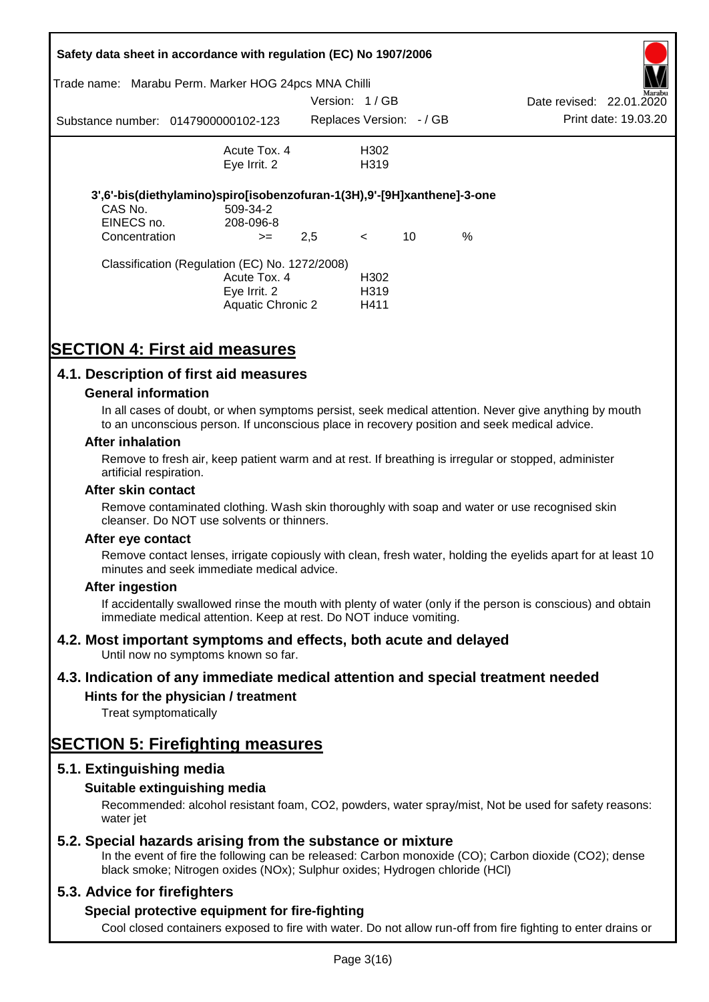|               | Safety data sheet in accordance with regulation (EC) No 1907/2006       |               |                          |    |      |                          |                      |
|---------------|-------------------------------------------------------------------------|---------------|--------------------------|----|------|--------------------------|----------------------|
|               | Trade name: Marabu Perm. Marker HOG 24pcs MNA Chilli                    | Version: 1/GB |                          |    |      | Date revised: 22.01.2020 | Marabu               |
|               |                                                                         |               |                          |    |      |                          |                      |
|               | Substance number: 0147900000102-123                                     |               | Replaces Version: - / GB |    |      |                          | Print date: 19.03.20 |
|               | Acute Tox. 4                                                            |               | H302                     |    |      |                          |                      |
|               | Eye Irrit. 2                                                            |               | H319                     |    |      |                          |                      |
|               |                                                                         |               |                          |    |      |                          |                      |
|               | 3',6'-bis(diethylamino)spiro[isobenzofuran-1(3H),9'-[9H]xanthene]-3-one |               |                          |    |      |                          |                      |
| CAS No.       | 509-34-2                                                                |               |                          |    |      |                          |                      |
| EINECS no.    | 208-096-8                                                               |               |                          |    |      |                          |                      |
| Concentration | $>=$                                                                    | 2,5           | $\prec$                  | 10 | $\%$ |                          |                      |
|               | Classification (Regulation (EC) No. 1272/2008)                          |               |                          |    |      |                          |                      |
|               | Acute Tox. 4                                                            |               | H302                     |    |      |                          |                      |
|               | Eye Irrit. 2                                                            |               | H <sub>3</sub> 19        |    |      |                          |                      |
|               | <b>Aquatic Chronic 2</b>                                                |               | H411                     |    |      |                          |                      |
|               |                                                                         |               |                          |    |      |                          |                      |

# **SECTION 4: First aid measures**

## **4.1. Description of first aid measures**

### **General information**

In all cases of doubt, or when symptoms persist, seek medical attention. Never give anything by mouth to an unconscious person. If unconscious place in recovery position and seek medical advice.

#### **After inhalation**

Remove to fresh air, keep patient warm and at rest. If breathing is irregular or stopped, administer artificial respiration.

#### **After skin contact**

Remove contaminated clothing. Wash skin thoroughly with soap and water or use recognised skin cleanser. Do NOT use solvents or thinners.

#### **After eye contact**

Remove contact lenses, irrigate copiously with clean, fresh water, holding the eyelids apart for at least 10 minutes and seek immediate medical advice.

#### **After ingestion**

If accidentally swallowed rinse the mouth with plenty of water (only if the person is conscious) and obtain immediate medical attention. Keep at rest. Do NOT induce vomiting.

## **4.2. Most important symptoms and effects, both acute and delayed**

Until now no symptoms known so far.

## **4.3. Indication of any immediate medical attention and special treatment needed**

## **Hints for the physician / treatment**

Treat symptomatically

## **SECTION 5: Firefighting measures**

## **5.1. Extinguishing media**

## **Suitable extinguishing media**

Recommended: alcohol resistant foam, CO2, powders, water spray/mist, Not be used for safety reasons: water *iet* 

## **5.2. Special hazards arising from the substance or mixture**

In the event of fire the following can be released: Carbon monoxide (CO); Carbon dioxide (CO2); dense black smoke; Nitrogen oxides (NOx); Sulphur oxides; Hydrogen chloride (HCl)

## **5.3. Advice for firefighters**

## **Special protective equipment for fire-fighting**

Cool closed containers exposed to fire with water. Do not allow run-off from fire fighting to enter drains or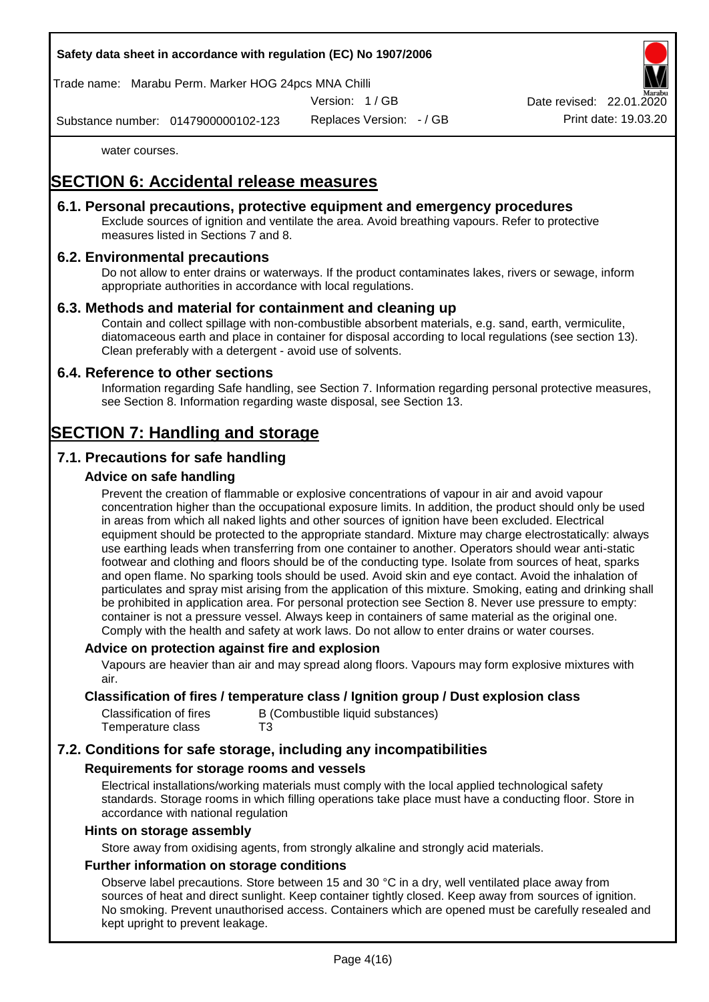## **Safety data sheet in accordance with regulation (EC) No 1907/2006**

Trade name: Marabu Perm. Marker HOG 24pcs MNA Chilli

Version: 1 / GB

Date revised: 22.01.

Substance number: 0147900000102-123

Replaces Version: - / GB Print date: 19.03.20

water courses.

# **SECTION 6: Accidental release measures**

## **6.1. Personal precautions, protective equipment and emergency procedures**

Exclude sources of ignition and ventilate the area. Avoid breathing vapours. Refer to protective measures listed in Sections 7 and 8.

## **6.2. Environmental precautions**

Do not allow to enter drains or waterways. If the product contaminates lakes, rivers or sewage, inform appropriate authorities in accordance with local regulations.

## **6.3. Methods and material for containment and cleaning up**

Contain and collect spillage with non-combustible absorbent materials, e.g. sand, earth, vermiculite, diatomaceous earth and place in container for disposal according to local regulations (see section 13). Clean preferably with a detergent - avoid use of solvents.

## **6.4. Reference to other sections**

Information regarding Safe handling, see Section 7. Information regarding personal protective measures, see Section 8. Information regarding waste disposal, see Section 13.

# **SECTION 7: Handling and storage**

## **7.1. Precautions for safe handling**

## **Advice on safe handling**

Prevent the creation of flammable or explosive concentrations of vapour in air and avoid vapour concentration higher than the occupational exposure limits. In addition, the product should only be used in areas from which all naked lights and other sources of ignition have been excluded. Electrical equipment should be protected to the appropriate standard. Mixture may charge electrostatically: always use earthing leads when transferring from one container to another. Operators should wear anti-static footwear and clothing and floors should be of the conducting type. Isolate from sources of heat, sparks and open flame. No sparking tools should be used. Avoid skin and eye contact. Avoid the inhalation of particulates and spray mist arising from the application of this mixture. Smoking, eating and drinking shall be prohibited in application area. For personal protection see Section 8. Never use pressure to empty: container is not a pressure vessel. Always keep in containers of same material as the original one. Comply with the health and safety at work laws. Do not allow to enter drains or water courses.

#### **Advice on protection against fire and explosion**

Vapours are heavier than air and may spread along floors. Vapours may form explosive mixtures with air.

### **Classification of fires / temperature class / Ignition group / Dust explosion class**

| Classification of fires | B (Combustible liquid substances) |
|-------------------------|-----------------------------------|
| Temperature class       | T3                                |

## **7.2. Conditions for safe storage, including any incompatibilities**

## **Requirements for storage rooms and vessels**

Electrical installations/working materials must comply with the local applied technological safety standards. Storage rooms in which filling operations take place must have a conducting floor. Store in accordance with national regulation

#### **Hints on storage assembly**

Store away from oxidising agents, from strongly alkaline and strongly acid materials.

### **Further information on storage conditions**

Observe label precautions. Store between 15 and 30 °C in a dry, well ventilated place away from sources of heat and direct sunlight. Keep container tightly closed. Keep away from sources of ignition. No smoking. Prevent unauthorised access. Containers which are opened must be carefully resealed and kept upright to prevent leakage.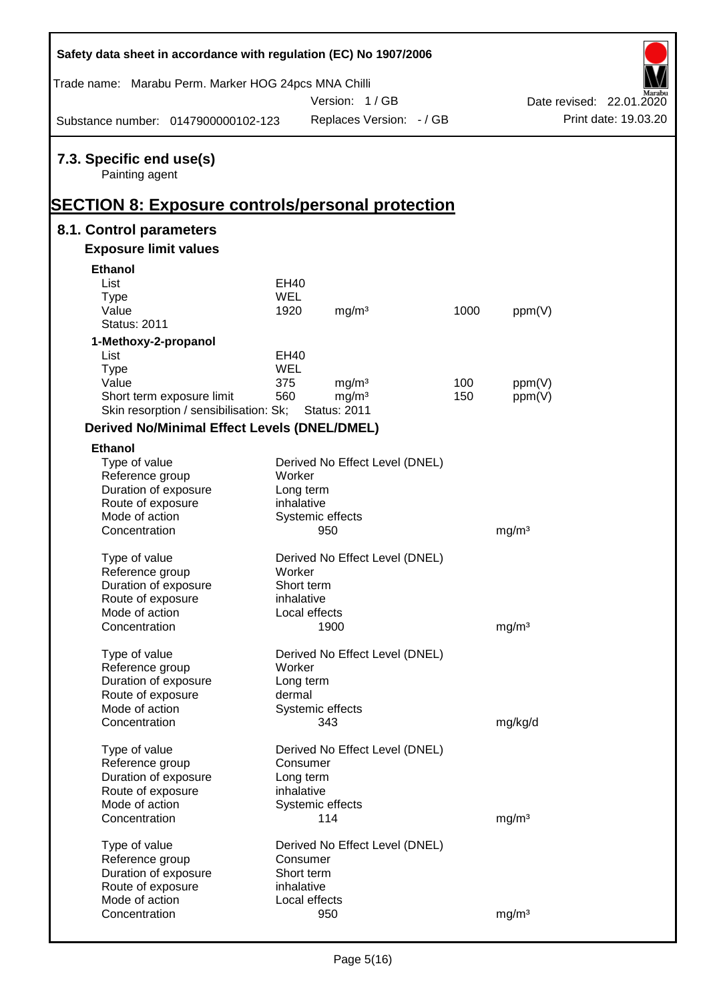| Safety data sheet in accordance with regulation (EC) No 1907/2006 |                          |                                |      |                   |                          |
|-------------------------------------------------------------------|--------------------------|--------------------------------|------|-------------------|--------------------------|
| Trade name: Marabu Perm. Marker HOG 24pcs MNA Chilli              |                          | Version: 1/GB                  |      |                   | Date revised: 22.01.2020 |
| Substance number: 0147900000102-123                               |                          | Replaces Version: - / GB       |      |                   | Print date: 19.03.20     |
| 7.3. Specific end use(s)                                          |                          |                                |      |                   |                          |
| Painting agent                                                    |                          |                                |      |                   |                          |
| <b>SECTION 8: Exposure controls/personal protection</b>           |                          |                                |      |                   |                          |
| 8.1. Control parameters                                           |                          |                                |      |                   |                          |
| <b>Exposure limit values</b>                                      |                          |                                |      |                   |                          |
| <b>Ethanol</b>                                                    |                          |                                |      |                   |                          |
| List                                                              | EH40                     |                                |      |                   |                          |
| <b>Type</b>                                                       | <b>WEL</b>               |                                |      |                   |                          |
| Value                                                             | 1920                     | mg/m <sup>3</sup>              | 1000 | ppm(V)            |                          |
| <b>Status: 2011</b>                                               |                          |                                |      |                   |                          |
| 1-Methoxy-2-propanol                                              |                          |                                |      |                   |                          |
| List                                                              | EH40                     |                                |      |                   |                          |
| <b>Type</b>                                                       | <b>WEL</b>               |                                |      |                   |                          |
| Value                                                             | 375                      | mg/m <sup>3</sup>              | 100  | ppm(V)            |                          |
| Short term exposure limit                                         | 560                      | mg/m <sup>3</sup>              | 150  | ppm(V)            |                          |
| Skin resorption / sensibilisation: Sk;                            |                          | <b>Status: 2011</b>            |      |                   |                          |
| <b>Derived No/Minimal Effect Levels (DNEL/DMEL)</b>               |                          |                                |      |                   |                          |
| <b>Ethanol</b>                                                    |                          |                                |      |                   |                          |
| Type of value                                                     |                          | Derived No Effect Level (DNEL) |      |                   |                          |
| Reference group                                                   | Worker                   |                                |      |                   |                          |
| Duration of exposure                                              | Long term                |                                |      |                   |                          |
| Route of exposure                                                 | inhalative               |                                |      |                   |                          |
| Mode of action                                                    |                          | Systemic effects               |      |                   |                          |
| Concentration                                                     |                          | 950                            |      | mg/m <sup>3</sup> |                          |
| Type of value                                                     |                          | Derived No Effect Level (DNEL) |      |                   |                          |
| Reference group                                                   | Worker                   |                                |      |                   |                          |
| Duration of exposure                                              | Short term               |                                |      |                   |                          |
| Route of exposure                                                 | inhalative               |                                |      |                   |                          |
| Mode of action                                                    | Local effects            |                                |      |                   |                          |
| Concentration                                                     |                          | 1900                           |      | mg/m <sup>3</sup> |                          |
|                                                                   |                          |                                |      |                   |                          |
| Type of value                                                     |                          | Derived No Effect Level (DNEL) |      |                   |                          |
| Reference group                                                   | Worker                   |                                |      |                   |                          |
| Duration of exposure                                              | Long term                |                                |      |                   |                          |
| Route of exposure                                                 | dermal                   |                                |      |                   |                          |
| Mode of action                                                    |                          | Systemic effects               |      |                   |                          |
| Concentration                                                     |                          | 343                            |      | mg/kg/d           |                          |
| Type of value                                                     |                          | Derived No Effect Level (DNEL) |      |                   |                          |
| Reference group                                                   | Consumer                 |                                |      |                   |                          |
| Duration of exposure                                              | Long term                |                                |      |                   |                          |
| Route of exposure                                                 | inhalative               |                                |      |                   |                          |
| Mode of action                                                    |                          | Systemic effects               |      |                   |                          |
| Concentration                                                     |                          | 114                            |      | mg/m <sup>3</sup> |                          |
|                                                                   |                          |                                |      |                   |                          |
| Type of value                                                     |                          | Derived No Effect Level (DNEL) |      |                   |                          |
| Reference group                                                   | Consumer                 |                                |      |                   |                          |
| Duration of exposure                                              | Short term<br>inhalative |                                |      |                   |                          |
| Route of exposure<br>Mode of action                               | Local effects            |                                |      |                   |                          |
| Concentration                                                     |                          | 950                            |      | mg/m <sup>3</sup> |                          |
|                                                                   |                          |                                |      |                   |                          |

 $\mathsf{r}$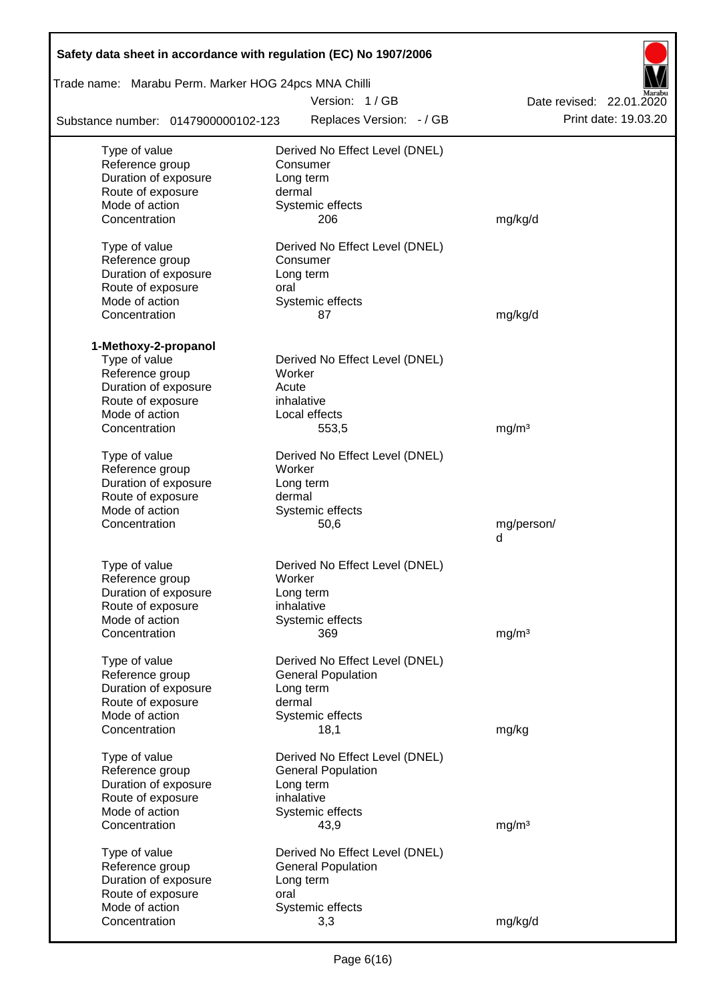| Safety data sheet in accordance with regulation (EC) No 1907/2006 |                                |                          |  |  |  |  |  |  |
|-------------------------------------------------------------------|--------------------------------|--------------------------|--|--|--|--|--|--|
| Trade name: Marabu Perm. Marker HOG 24pcs MNA Chilli              |                                |                          |  |  |  |  |  |  |
|                                                                   | Version: 1/GB                  | Date revised: 22.01.2020 |  |  |  |  |  |  |
| Substance number: 0147900000102-123                               | Replaces Version: - / GB       | Print date: 19.03.20     |  |  |  |  |  |  |
| Type of value                                                     | Derived No Effect Level (DNEL) |                          |  |  |  |  |  |  |
| Reference group                                                   | Consumer                       |                          |  |  |  |  |  |  |
| Duration of exposure                                              | Long term                      |                          |  |  |  |  |  |  |
| Route of exposure                                                 | dermal                         |                          |  |  |  |  |  |  |
| Mode of action                                                    | Systemic effects               |                          |  |  |  |  |  |  |
| Concentration                                                     | 206                            | mg/kg/d                  |  |  |  |  |  |  |
| Type of value                                                     | Derived No Effect Level (DNEL) |                          |  |  |  |  |  |  |
| Reference group                                                   | Consumer                       |                          |  |  |  |  |  |  |
| Duration of exposure                                              | Long term                      |                          |  |  |  |  |  |  |
| Route of exposure                                                 | oral                           |                          |  |  |  |  |  |  |
| Mode of action                                                    | Systemic effects               |                          |  |  |  |  |  |  |
| Concentration                                                     | 87                             | mg/kg/d                  |  |  |  |  |  |  |
| 1-Methoxy-2-propanol                                              |                                |                          |  |  |  |  |  |  |
| Type of value                                                     | Derived No Effect Level (DNEL) |                          |  |  |  |  |  |  |
| Reference group                                                   | Worker                         |                          |  |  |  |  |  |  |
| Duration of exposure                                              | Acute                          |                          |  |  |  |  |  |  |
| Route of exposure                                                 | inhalative                     |                          |  |  |  |  |  |  |
| Mode of action                                                    | Local effects                  |                          |  |  |  |  |  |  |
| Concentration                                                     | 553,5                          | mg/m <sup>3</sup>        |  |  |  |  |  |  |
| Type of value                                                     | Derived No Effect Level (DNEL) |                          |  |  |  |  |  |  |
| Reference group                                                   | Worker                         |                          |  |  |  |  |  |  |
| Duration of exposure                                              | Long term                      |                          |  |  |  |  |  |  |
| Route of exposure                                                 | dermal                         |                          |  |  |  |  |  |  |
| Mode of action                                                    | Systemic effects               |                          |  |  |  |  |  |  |
| Concentration                                                     | 50,6                           | mg/person/               |  |  |  |  |  |  |
|                                                                   |                                | d                        |  |  |  |  |  |  |
| Type of value                                                     | Derived No Effect Level (DNEL) |                          |  |  |  |  |  |  |
| Reference group                                                   | Worker                         |                          |  |  |  |  |  |  |
| Duration of exposure                                              | Long term                      |                          |  |  |  |  |  |  |
| Route of exposure                                                 | inhalative                     |                          |  |  |  |  |  |  |
| Mode of action                                                    | Systemic effects               |                          |  |  |  |  |  |  |
| Concentration                                                     | 369                            | mg/m <sup>3</sup>        |  |  |  |  |  |  |
| Type of value                                                     | Derived No Effect Level (DNEL) |                          |  |  |  |  |  |  |
| Reference group                                                   | <b>General Population</b>      |                          |  |  |  |  |  |  |
| Duration of exposure                                              | Long term                      |                          |  |  |  |  |  |  |
| Route of exposure                                                 | dermal                         |                          |  |  |  |  |  |  |
| Mode of action                                                    | Systemic effects               |                          |  |  |  |  |  |  |
| Concentration                                                     | 18,1                           | mg/kg                    |  |  |  |  |  |  |
| Type of value                                                     | Derived No Effect Level (DNEL) |                          |  |  |  |  |  |  |
| Reference group                                                   | <b>General Population</b>      |                          |  |  |  |  |  |  |
| Duration of exposure                                              | Long term                      |                          |  |  |  |  |  |  |
| Route of exposure                                                 | inhalative                     |                          |  |  |  |  |  |  |
| Mode of action                                                    | Systemic effects               |                          |  |  |  |  |  |  |
| Concentration                                                     | 43,9                           | mg/m <sup>3</sup>        |  |  |  |  |  |  |
| Type of value                                                     | Derived No Effect Level (DNEL) |                          |  |  |  |  |  |  |
| Reference group                                                   | <b>General Population</b>      |                          |  |  |  |  |  |  |
| Duration of exposure                                              | Long term                      |                          |  |  |  |  |  |  |
| Route of exposure                                                 | oral                           |                          |  |  |  |  |  |  |
| Mode of action                                                    | Systemic effects               |                          |  |  |  |  |  |  |
| Concentration                                                     | 3,3                            | mg/kg/d                  |  |  |  |  |  |  |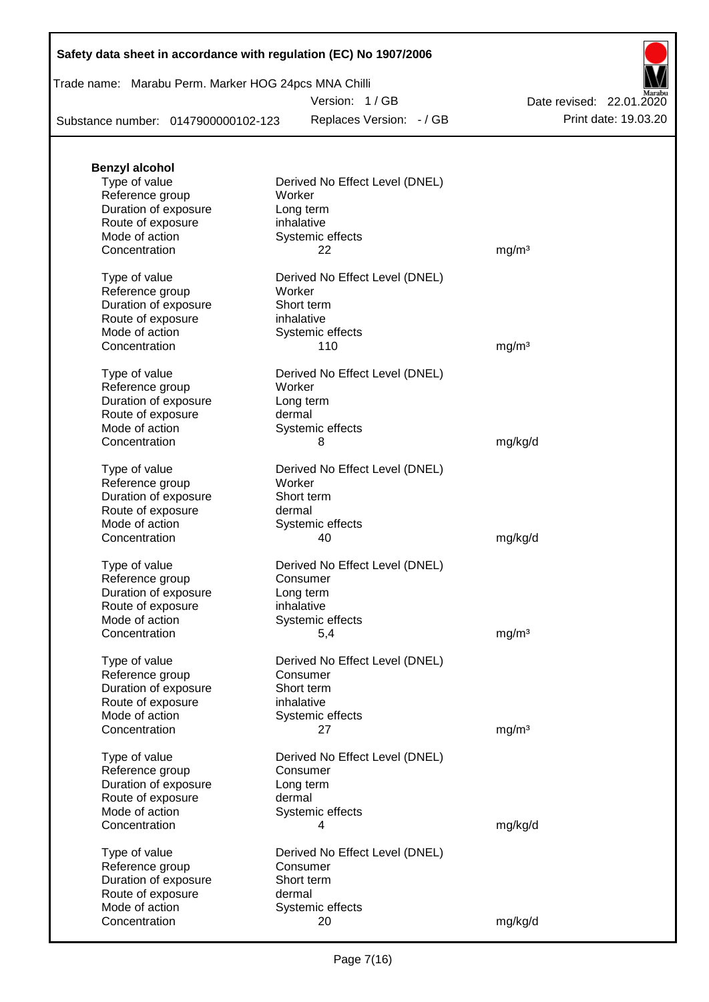|  | Safety data sheet in accordance with regulation (EC) No 1907/2006 |  |
|--|-------------------------------------------------------------------|--|
|--|-------------------------------------------------------------------|--|

## Trade name: Marabu Perm. Marker HOG 24pcs MNA Chilli

Version: 1 / GB

Replaces Version: - / GB Print date: 19.03.20 Date revised: 22.01.2020

Substance number: 0147900000102-123

| <b>Benzyl alcohol</b> |                                |                   |
|-----------------------|--------------------------------|-------------------|
| Type of value         | Derived No Effect Level (DNEL) |                   |
| Reference group       | Worker                         |                   |
| Duration of exposure  | Long term                      |                   |
| Route of exposure     | inhalative                     |                   |
| Mode of action        | Systemic effects               |                   |
| Concentration         | 22                             | mg/m <sup>3</sup> |
| Type of value         | Derived No Effect Level (DNEL) |                   |
| Reference group       | Worker                         |                   |
| Duration of exposure  | Short term                     |                   |
| Route of exposure     | inhalative                     |                   |
| Mode of action        | Systemic effects               |                   |
| Concentration         | 110                            | mg/m <sup>3</sup> |
| Type of value         | Derived No Effect Level (DNEL) |                   |
| Reference group       | Worker                         |                   |
| Duration of exposure  | Long term                      |                   |
| Route of exposure     | dermal                         |                   |
| Mode of action        | Systemic effects               |                   |
| Concentration         | 8                              | mg/kg/d           |
| Type of value         | Derived No Effect Level (DNEL) |                   |
| Reference group       | Worker                         |                   |
| Duration of exposure  | Short term                     |                   |
| Route of exposure     | dermal                         |                   |
| Mode of action        | Systemic effects               |                   |
| Concentration         | 40                             | mg/kg/d           |
| Type of value         | Derived No Effect Level (DNEL) |                   |
| Reference group       | Consumer                       |                   |
| Duration of exposure  | Long term                      |                   |
| Route of exposure     | inhalative                     |                   |
| Mode of action        | Systemic effects               |                   |
| Concentration         | 5,4                            | mg/m <sup>3</sup> |
| Type of value         | Derived No Effect Level (DNEL) |                   |
| Reference group       | Consumer                       |                   |
| Duration of exposure  | Short term                     |                   |
| Route of exposure     | inhalative                     |                   |
| Mode of action        | Systemic effects               |                   |
| Concentration         | 27                             | mg/m <sup>3</sup> |
| Type of value         | Derived No Effect Level (DNEL) |                   |
| Reference group       | Consumer                       |                   |
| Duration of exposure  | Long term                      |                   |
| Route of exposure     | dermal                         |                   |
| Mode of action        | Systemic effects               |                   |
| Concentration         | 4                              | mg/kg/d           |
| Type of value         | Derived No Effect Level (DNEL) |                   |
| Reference group       | Consumer                       |                   |
| Duration of exposure  | Short term                     |                   |
| Route of exposure     | dermal                         |                   |
| Mode of action        | Systemic effects               |                   |
| Concentration         | 20                             | mg/kg/d           |
|                       |                                |                   |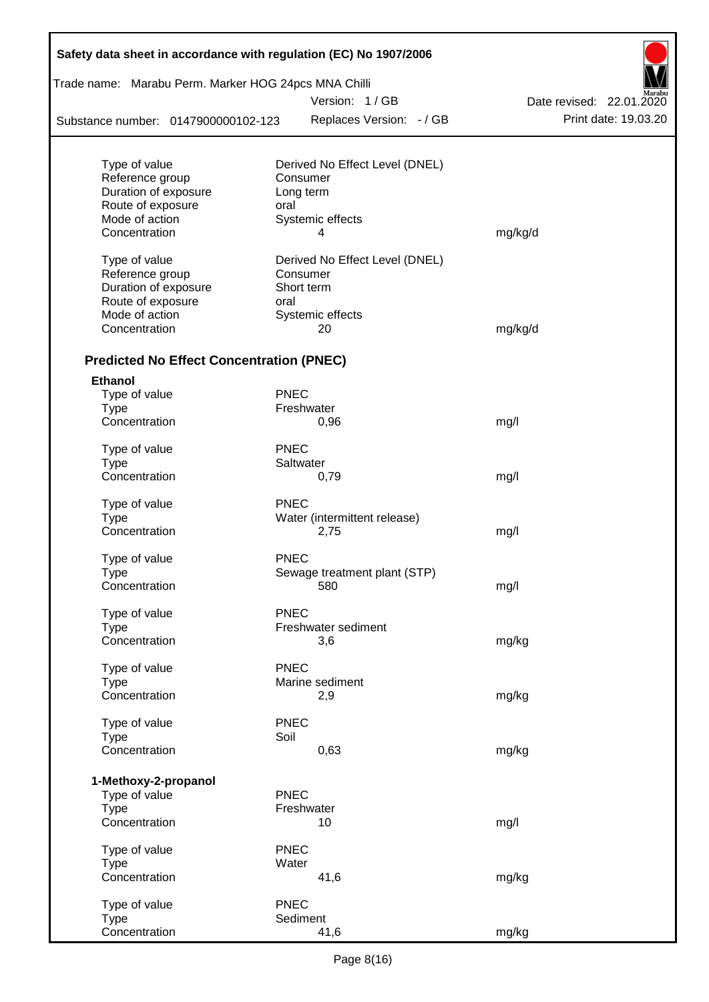| Safety data sheet in accordance with regulation (EC) No 1907/2006 |             |                                |                          |
|-------------------------------------------------------------------|-------------|--------------------------------|--------------------------|
| Trade name: Marabu Perm. Marker HOG 24pcs MNA Chilli              |             |                                |                          |
|                                                                   |             | Version: 1 / GB                | Date revised: 22.01.2020 |
| Substance number: 0147900000102-123                               |             | Replaces Version: - / GB       | Print date: 19.03.20     |
| Type of value                                                     |             | Derived No Effect Level (DNEL) |                          |
| Reference group                                                   |             | Consumer                       |                          |
| Duration of exposure                                              |             | Long term                      |                          |
| Route of exposure                                                 | oral        |                                |                          |
| Mode of action                                                    |             | Systemic effects               |                          |
| Concentration                                                     |             | 4                              | mg/kg/d                  |
| Type of value                                                     |             | Derived No Effect Level (DNEL) |                          |
| Reference group                                                   |             | Consumer                       |                          |
| Duration of exposure                                              |             | Short term                     |                          |
| Route of exposure                                                 | oral        |                                |                          |
| Mode of action                                                    |             | Systemic effects               |                          |
| Concentration                                                     |             | 20                             | mg/kg/d                  |
| <b>Predicted No Effect Concentration (PNEC)</b>                   |             |                                |                          |
| <b>Ethanol</b>                                                    |             |                                |                          |
| Type of value                                                     | <b>PNEC</b> |                                |                          |
| <b>Type</b>                                                       |             | Freshwater                     |                          |
| Concentration                                                     |             | 0,96                           | mg/l                     |
| Type of value                                                     | <b>PNEC</b> |                                |                          |
| <b>Type</b>                                                       |             | Saltwater                      |                          |
| Concentration                                                     |             | 0,79                           | mg/l                     |
| Type of value                                                     | <b>PNEC</b> |                                |                          |
| <b>Type</b>                                                       |             | Water (intermittent release)   |                          |
| Concentration                                                     |             | 2,75                           | mg/l                     |
| Type of value                                                     | <b>PNEC</b> |                                |                          |
| Type                                                              |             | Sewage treatment plant (STP)   |                          |
| Concentration                                                     |             | 580                            | mg/l                     |
| Type of value                                                     | <b>PNEC</b> |                                |                          |
| <b>Type</b>                                                       |             | Freshwater sediment            |                          |
| Concentration                                                     |             | 3,6                            | mg/kg                    |
| Type of value                                                     | <b>PNEC</b> |                                |                          |
| <b>Type</b>                                                       |             | Marine sediment                |                          |
| Concentration                                                     |             | 2,9                            | mg/kg                    |
| Type of value                                                     | <b>PNEC</b> |                                |                          |
| <b>Type</b>                                                       | Soil        |                                |                          |
| Concentration                                                     |             | 0,63                           | mg/kg                    |
| 1-Methoxy-2-propanol                                              |             |                                |                          |
| Type of value                                                     | <b>PNEC</b> |                                |                          |
| <b>Type</b>                                                       |             | Freshwater                     |                          |
| Concentration                                                     |             | 10                             | mg/l                     |
| Type of value                                                     | <b>PNEC</b> |                                |                          |
| <b>Type</b>                                                       | Water       |                                |                          |
| Concentration                                                     |             | 41,6                           | mg/kg                    |
| Type of value                                                     | <b>PNEC</b> |                                |                          |
| <b>Type</b>                                                       |             | Sediment                       |                          |
| Concentration                                                     |             | 41,6                           | mg/kg                    |

 $\mathsf{r}$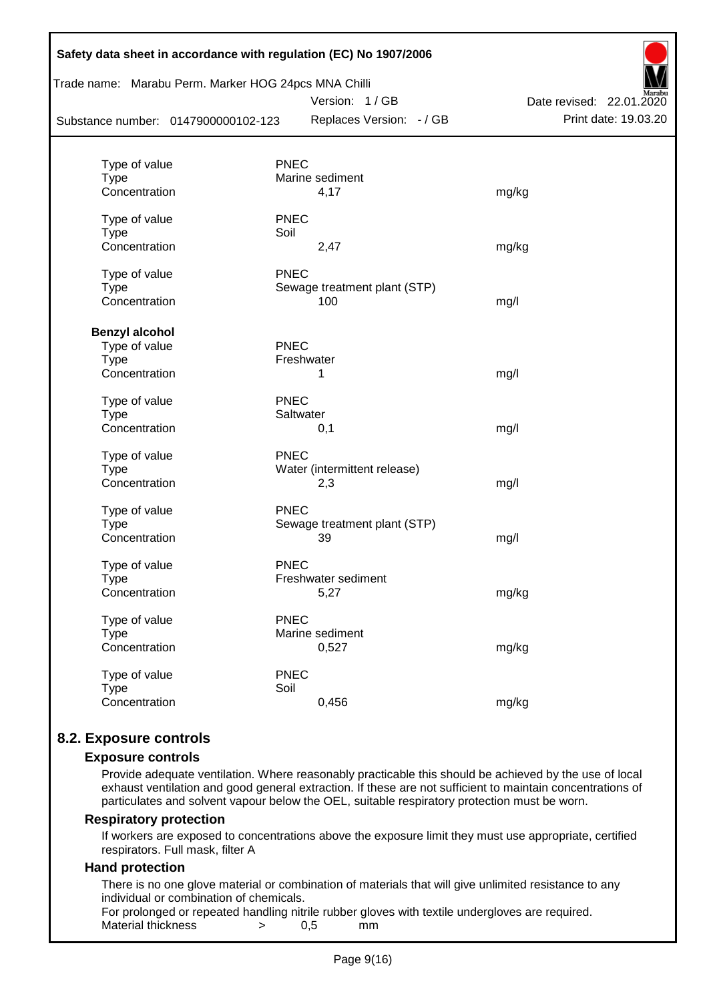| Safety data sheet in accordance with regulation (EC) No 1907/2006<br>Trade name: Marabu Perm. Marker HOG 24pcs MNA Chilli<br>Version: 1/GB<br>Date revised: 22.01.2020 |                              |                      |  |  |  |  |  |
|------------------------------------------------------------------------------------------------------------------------------------------------------------------------|------------------------------|----------------------|--|--|--|--|--|
| Substance number: 0147900000102-123                                                                                                                                    | Replaces Version: - / GB     | Print date: 19.03.20 |  |  |  |  |  |
|                                                                                                                                                                        |                              |                      |  |  |  |  |  |
| Type of value                                                                                                                                                          | <b>PNEC</b>                  |                      |  |  |  |  |  |
| <b>Type</b>                                                                                                                                                            | Marine sediment              |                      |  |  |  |  |  |
| Concentration                                                                                                                                                          | 4,17                         | mg/kg                |  |  |  |  |  |
| Type of value                                                                                                                                                          | <b>PNEC</b>                  |                      |  |  |  |  |  |
| <b>Type</b>                                                                                                                                                            | Soil                         |                      |  |  |  |  |  |
| Concentration                                                                                                                                                          | 2,47                         | mg/kg                |  |  |  |  |  |
| Type of value                                                                                                                                                          | <b>PNEC</b>                  |                      |  |  |  |  |  |
| <b>Type</b>                                                                                                                                                            | Sewage treatment plant (STP) |                      |  |  |  |  |  |
| Concentration                                                                                                                                                          | 100                          | mg/l                 |  |  |  |  |  |
|                                                                                                                                                                        |                              |                      |  |  |  |  |  |
| <b>Benzyl alcohol</b><br>Type of value                                                                                                                                 | <b>PNEC</b>                  |                      |  |  |  |  |  |
| <b>Type</b>                                                                                                                                                            | Freshwater                   |                      |  |  |  |  |  |
| Concentration                                                                                                                                                          | 1                            | mg/l                 |  |  |  |  |  |
| Type of value                                                                                                                                                          | <b>PNEC</b>                  |                      |  |  |  |  |  |
| <b>Type</b>                                                                                                                                                            | Saltwater                    |                      |  |  |  |  |  |
| Concentration                                                                                                                                                          | 0,1                          | mg/l                 |  |  |  |  |  |
| Type of value                                                                                                                                                          | <b>PNEC</b>                  |                      |  |  |  |  |  |
| Type                                                                                                                                                                   | Water (intermittent release) |                      |  |  |  |  |  |
| Concentration                                                                                                                                                          | 2,3                          | mg/l                 |  |  |  |  |  |
| Type of value                                                                                                                                                          | <b>PNEC</b>                  |                      |  |  |  |  |  |
| <b>Type</b>                                                                                                                                                            | Sewage treatment plant (STP) |                      |  |  |  |  |  |
| Concentration                                                                                                                                                          | 39                           | mg/l                 |  |  |  |  |  |
| Type of value                                                                                                                                                          | <b>PNEC</b>                  |                      |  |  |  |  |  |
| <b>Type</b>                                                                                                                                                            | Freshwater sediment          |                      |  |  |  |  |  |
| Concentration                                                                                                                                                          | 5,27                         | mg/kg                |  |  |  |  |  |
| Type of value                                                                                                                                                          | <b>PNEC</b>                  |                      |  |  |  |  |  |
| <b>Type</b>                                                                                                                                                            | Marine sediment              |                      |  |  |  |  |  |
| Concentration                                                                                                                                                          | 0,527                        | mg/kg                |  |  |  |  |  |
| Type of value                                                                                                                                                          | <b>PNEC</b>                  |                      |  |  |  |  |  |
| <b>Type</b>                                                                                                                                                            | Soil                         |                      |  |  |  |  |  |
| Concentration                                                                                                                                                          | 0,456                        | mg/kg                |  |  |  |  |  |
|                                                                                                                                                                        |                              |                      |  |  |  |  |  |

## **8.2. Exposure controls**

#### **Exposure controls**

Provide adequate ventilation. Where reasonably practicable this should be achieved by the use of local exhaust ventilation and good general extraction. If these are not sufficient to maintain concentrations of particulates and solvent vapour below the OEL, suitable respiratory protection must be worn.

#### **Respiratory protection**

If workers are exposed to concentrations above the exposure limit they must use appropriate, certified respirators. Full mask, filter A

#### **Hand protection**

There is no one glove material or combination of materials that will give unlimited resistance to any individual or combination of chemicals.

For prolonged or repeated handling nitrile rubber gloves with textile undergloves are required. Material thickness  $\rightarrow$  0,5 mm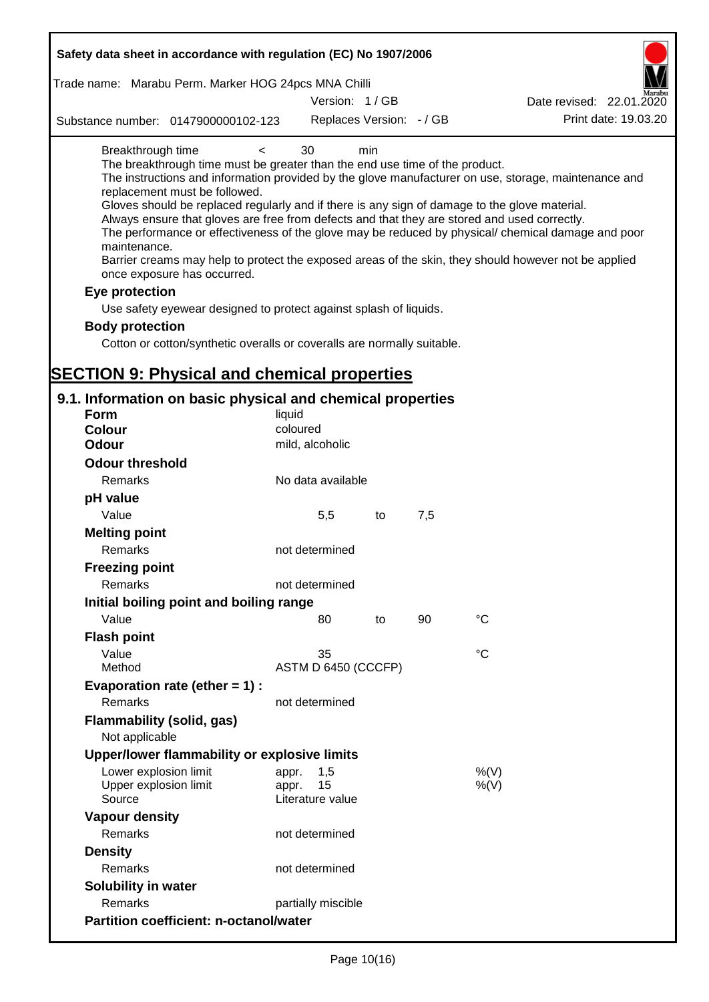| Safety data sheet in accordance with regulation (EC) No 1907/2006                                                                                                                                                                                                                                                                                                                                                                                                                                                                                                                        |                                                 |     |     |                                                                                                                                                                                                                                                                                                                    |
|------------------------------------------------------------------------------------------------------------------------------------------------------------------------------------------------------------------------------------------------------------------------------------------------------------------------------------------------------------------------------------------------------------------------------------------------------------------------------------------------------------------------------------------------------------------------------------------|-------------------------------------------------|-----|-----|--------------------------------------------------------------------------------------------------------------------------------------------------------------------------------------------------------------------------------------------------------------------------------------------------------------------|
| Trade name: Marabu Perm. Marker HOG 24pcs MNA Chilli                                                                                                                                                                                                                                                                                                                                                                                                                                                                                                                                     |                                                 |     |     |                                                                                                                                                                                                                                                                                                                    |
|                                                                                                                                                                                                                                                                                                                                                                                                                                                                                                                                                                                          | Version: 1/GB                                   |     |     | Date revised: 22.01.2020                                                                                                                                                                                                                                                                                           |
| Substance number: 0147900000102-123                                                                                                                                                                                                                                                                                                                                                                                                                                                                                                                                                      | Replaces Version: - / GB                        |     |     | Print date: 19.03.20                                                                                                                                                                                                                                                                                               |
| Breakthrough time<br>$\,<\,$<br>The breakthrough time must be greater than the end use time of the product.<br>replacement must be followed.<br>Gloves should be replaced regularly and if there is any sign of damage to the glove material.<br>Always ensure that gloves are free from defects and that they are stored and used correctly.<br>maintenance.<br>once exposure has occurred.<br>Eye protection<br>Use safety eyewear designed to protect against splash of liquids.<br><b>Body protection</b><br>Cotton or cotton/synthetic overalls or coveralls are normally suitable. | 30                                              | min |     | The instructions and information provided by the glove manufacturer on use, storage, maintenance and<br>The performance or effectiveness of the glove may be reduced by physical/ chemical damage and poor<br>Barrier creams may help to protect the exposed areas of the skin, they should however not be applied |
| <b>SECTION 9: Physical and chemical properties</b>                                                                                                                                                                                                                                                                                                                                                                                                                                                                                                                                       |                                                 |     |     |                                                                                                                                                                                                                                                                                                                    |
| 9.1. Information on basic physical and chemical properties                                                                                                                                                                                                                                                                                                                                                                                                                                                                                                                               |                                                 |     |     |                                                                                                                                                                                                                                                                                                                    |
| Form                                                                                                                                                                                                                                                                                                                                                                                                                                                                                                                                                                                     | liquid                                          |     |     |                                                                                                                                                                                                                                                                                                                    |
| <b>Colour</b>                                                                                                                                                                                                                                                                                                                                                                                                                                                                                                                                                                            | coloured                                        |     |     |                                                                                                                                                                                                                                                                                                                    |
| <b>Odour</b>                                                                                                                                                                                                                                                                                                                                                                                                                                                                                                                                                                             | mild, alcoholic                                 |     |     |                                                                                                                                                                                                                                                                                                                    |
| <b>Odour threshold</b>                                                                                                                                                                                                                                                                                                                                                                                                                                                                                                                                                                   |                                                 |     |     |                                                                                                                                                                                                                                                                                                                    |
| Remarks                                                                                                                                                                                                                                                                                                                                                                                                                                                                                                                                                                                  | No data available                               |     |     |                                                                                                                                                                                                                                                                                                                    |
| pH value                                                                                                                                                                                                                                                                                                                                                                                                                                                                                                                                                                                 |                                                 |     |     |                                                                                                                                                                                                                                                                                                                    |
| Value                                                                                                                                                                                                                                                                                                                                                                                                                                                                                                                                                                                    | 5,5                                             | to  | 7,5 |                                                                                                                                                                                                                                                                                                                    |
| <b>Melting point</b>                                                                                                                                                                                                                                                                                                                                                                                                                                                                                                                                                                     |                                                 |     |     |                                                                                                                                                                                                                                                                                                                    |
| <b>Remarks</b>                                                                                                                                                                                                                                                                                                                                                                                                                                                                                                                                                                           | not determined                                  |     |     |                                                                                                                                                                                                                                                                                                                    |
| <b>Freezing point</b>                                                                                                                                                                                                                                                                                                                                                                                                                                                                                                                                                                    |                                                 |     |     |                                                                                                                                                                                                                                                                                                                    |
| Remarks                                                                                                                                                                                                                                                                                                                                                                                                                                                                                                                                                                                  | not determined                                  |     |     |                                                                                                                                                                                                                                                                                                                    |
| Initial boiling point and boiling range                                                                                                                                                                                                                                                                                                                                                                                                                                                                                                                                                  |                                                 |     |     |                                                                                                                                                                                                                                                                                                                    |
| Value                                                                                                                                                                                                                                                                                                                                                                                                                                                                                                                                                                                    | 80                                              | to  | 90  | $^{\circ}C$                                                                                                                                                                                                                                                                                                        |
| <b>Flash point</b>                                                                                                                                                                                                                                                                                                                                                                                                                                                                                                                                                                       |                                                 |     |     |                                                                                                                                                                                                                                                                                                                    |
| Value                                                                                                                                                                                                                                                                                                                                                                                                                                                                                                                                                                                    | 35                                              |     |     | °C                                                                                                                                                                                                                                                                                                                 |
| Method                                                                                                                                                                                                                                                                                                                                                                                                                                                                                                                                                                                   | ASTM D 6450 (CCCFP)                             |     |     |                                                                                                                                                                                                                                                                                                                    |
| Evaporation rate (ether $= 1$ ) :                                                                                                                                                                                                                                                                                                                                                                                                                                                                                                                                                        |                                                 |     |     |                                                                                                                                                                                                                                                                                                                    |
| Remarks                                                                                                                                                                                                                                                                                                                                                                                                                                                                                                                                                                                  | not determined                                  |     |     |                                                                                                                                                                                                                                                                                                                    |
| Flammability (solid, gas)<br>Not applicable                                                                                                                                                                                                                                                                                                                                                                                                                                                                                                                                              |                                                 |     |     |                                                                                                                                                                                                                                                                                                                    |
| Upper/lower flammability or explosive limits                                                                                                                                                                                                                                                                                                                                                                                                                                                                                                                                             |                                                 |     |     |                                                                                                                                                                                                                                                                                                                    |
| Lower explosion limit<br>Upper explosion limit<br>Source                                                                                                                                                                                                                                                                                                                                                                                                                                                                                                                                 | 1,5<br>appr.<br>15<br>appr.<br>Literature value |     |     | %(V)<br>$%$ (V)                                                                                                                                                                                                                                                                                                    |
| <b>Vapour density</b>                                                                                                                                                                                                                                                                                                                                                                                                                                                                                                                                                                    |                                                 |     |     |                                                                                                                                                                                                                                                                                                                    |
| Remarks                                                                                                                                                                                                                                                                                                                                                                                                                                                                                                                                                                                  | not determined                                  |     |     |                                                                                                                                                                                                                                                                                                                    |
| <b>Density</b>                                                                                                                                                                                                                                                                                                                                                                                                                                                                                                                                                                           |                                                 |     |     |                                                                                                                                                                                                                                                                                                                    |
| Remarks                                                                                                                                                                                                                                                                                                                                                                                                                                                                                                                                                                                  | not determined                                  |     |     |                                                                                                                                                                                                                                                                                                                    |
| <b>Solubility in water</b>                                                                                                                                                                                                                                                                                                                                                                                                                                                                                                                                                               |                                                 |     |     |                                                                                                                                                                                                                                                                                                                    |
| Remarks                                                                                                                                                                                                                                                                                                                                                                                                                                                                                                                                                                                  | partially miscible                              |     |     |                                                                                                                                                                                                                                                                                                                    |
| <b>Partition coefficient: n-octanol/water</b>                                                                                                                                                                                                                                                                                                                                                                                                                                                                                                                                            |                                                 |     |     |                                                                                                                                                                                                                                                                                                                    |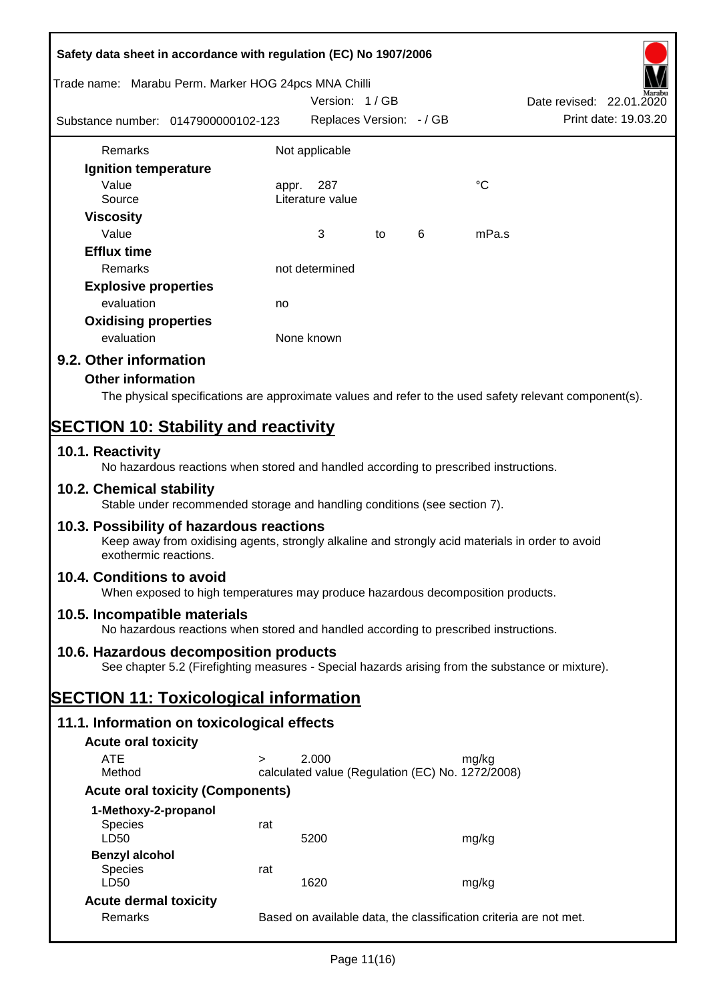| Safety data sheet in accordance with regulation (EC) No 1907/2006                                                                                                     |        |                                                                   |    |   |             |                                                  |
|-----------------------------------------------------------------------------------------------------------------------------------------------------------------------|--------|-------------------------------------------------------------------|----|---|-------------|--------------------------------------------------|
| Trade name: Marabu Perm. Marker HOG 24pcs MNA Chilli                                                                                                                  |        |                                                                   |    |   |             |                                                  |
| Substance number: 0147900000102-123                                                                                                                                   |        | Version: 1/GB<br>Replaces Version: - / GB                         |    |   |             | Date revised: 22.01.2020<br>Print date: 19.03.20 |
| Remarks                                                                                                                                                               |        | Not applicable                                                    |    |   |             |                                                  |
| Ignition temperature                                                                                                                                                  |        |                                                                   |    |   |             |                                                  |
| Value<br>Source                                                                                                                                                       | appr.  | 287<br>Literature value                                           |    |   | $^{\circ}C$ |                                                  |
| <b>Viscosity</b>                                                                                                                                                      |        |                                                                   |    |   |             |                                                  |
| Value                                                                                                                                                                 |        | 3                                                                 | to | 6 | mPa.s       |                                                  |
| <b>Efflux time</b>                                                                                                                                                    |        |                                                                   |    |   |             |                                                  |
| Remarks                                                                                                                                                               |        | not determined                                                    |    |   |             |                                                  |
| <b>Explosive properties</b>                                                                                                                                           |        |                                                                   |    |   |             |                                                  |
| evaluation                                                                                                                                                            | no     |                                                                   |    |   |             |                                                  |
| <b>Oxidising properties</b>                                                                                                                                           |        | None known                                                        |    |   |             |                                                  |
| evaluation                                                                                                                                                            |        |                                                                   |    |   |             |                                                  |
| 9.2. Other information                                                                                                                                                |        |                                                                   |    |   |             |                                                  |
| <b>Other information</b><br>The physical specifications are approximate values and refer to the used safety relevant component(s).                                    |        |                                                                   |    |   |             |                                                  |
|                                                                                                                                                                       |        |                                                                   |    |   |             |                                                  |
| <b>SECTION 10: Stability and reactivity</b>                                                                                                                           |        |                                                                   |    |   |             |                                                  |
| 10.1. Reactivity<br>No hazardous reactions when stored and handled according to prescribed instructions.                                                              |        |                                                                   |    |   |             |                                                  |
| 10.2. Chemical stability<br>Stable under recommended storage and handling conditions (see section 7).                                                                 |        |                                                                   |    |   |             |                                                  |
| 10.3. Possibility of hazardous reactions<br>Keep away from oxidising agents, strongly alkaline and strongly acid materials in order to avoid<br>exothermic reactions. |        |                                                                   |    |   |             |                                                  |
| 10.4. Conditions to avoid<br>When exposed to high temperatures may produce hazardous decomposition products.                                                          |        |                                                                   |    |   |             |                                                  |
| 10.5. Incompatible materials<br>No hazardous reactions when stored and handled according to prescribed instructions.                                                  |        |                                                                   |    |   |             |                                                  |
| 10.6. Hazardous decomposition products<br>See chapter 5.2 (Firefighting measures - Special hazards arising from the substance or mixture).                            |        |                                                                   |    |   |             |                                                  |
| <b>SECTION 11: Toxicological information</b>                                                                                                                          |        |                                                                   |    |   |             |                                                  |
| 11.1. Information on toxicological effects                                                                                                                            |        |                                                                   |    |   |             |                                                  |
| <b>Acute oral toxicity</b>                                                                                                                                            |        |                                                                   |    |   |             |                                                  |
| <b>ATE</b>                                                                                                                                                            | $\geq$ | 2.000                                                             |    |   | mg/kg       |                                                  |
| Method                                                                                                                                                                |        | calculated value (Regulation (EC) No. 1272/2008)                  |    |   |             |                                                  |
| <b>Acute oral toxicity (Components)</b>                                                                                                                               |        |                                                                   |    |   |             |                                                  |
| 1-Methoxy-2-propanol<br><b>Species</b><br>LD50                                                                                                                        | rat    | 5200                                                              |    |   | mg/kg       |                                                  |
| <b>Benzyl alcohol</b>                                                                                                                                                 |        |                                                                   |    |   |             |                                                  |
| <b>Species</b><br>LD50                                                                                                                                                | rat    | 1620                                                              |    |   | mg/kg       |                                                  |
| <b>Acute dermal toxicity</b>                                                                                                                                          |        |                                                                   |    |   |             |                                                  |
| Remarks                                                                                                                                                               |        | Based on available data, the classification criteria are not met. |    |   |             |                                                  |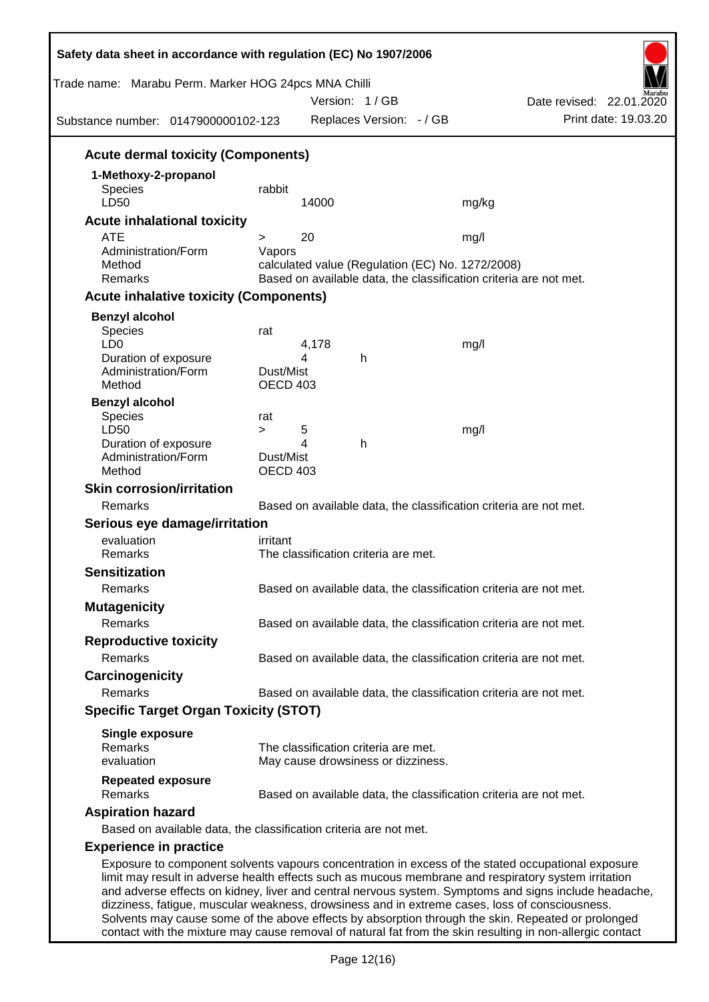| Trade name: Marabu Perm. Marker HOG 24pcs MNA Chilli<br>Substance number: 0147900000102-123 |                              | Version: 1/GB<br>Replaces Version: - / GB        | Date revised: 22.01.2020<br>Print date: 19.03.20                                                                                                                                                                                                                                                                                                                                                                      |
|---------------------------------------------------------------------------------------------|------------------------------|--------------------------------------------------|-----------------------------------------------------------------------------------------------------------------------------------------------------------------------------------------------------------------------------------------------------------------------------------------------------------------------------------------------------------------------------------------------------------------------|
|                                                                                             |                              |                                                  |                                                                                                                                                                                                                                                                                                                                                                                                                       |
| <b>Acute dermal toxicity (Components)</b>                                                   |                              |                                                  |                                                                                                                                                                                                                                                                                                                                                                                                                       |
| 1-Methoxy-2-propanol<br>Species<br>LD50                                                     | rabbit                       | 14000                                            | mg/kg                                                                                                                                                                                                                                                                                                                                                                                                                 |
| <b>Acute inhalational toxicity</b>                                                          |                              |                                                  |                                                                                                                                                                                                                                                                                                                                                                                                                       |
| <b>ATE</b>                                                                                  | >                            | 20                                               | mg/l                                                                                                                                                                                                                                                                                                                                                                                                                  |
| Administration/Form<br>Method<br>Remarks                                                    | Vapors                       | calculated value (Regulation (EC) No. 1272/2008) | Based on available data, the classification criteria are not met.                                                                                                                                                                                                                                                                                                                                                     |
| <b>Acute inhalative toxicity (Components)</b>                                               |                              |                                                  |                                                                                                                                                                                                                                                                                                                                                                                                                       |
| <b>Benzyl alcohol</b>                                                                       |                              |                                                  |                                                                                                                                                                                                                                                                                                                                                                                                                       |
| Species<br>LD <sub>0</sub>                                                                  | rat                          | 4,178                                            | mg/l                                                                                                                                                                                                                                                                                                                                                                                                                  |
| Duration of exposure<br>Administration/Form<br>Method                                       | Dust/Mist<br><b>OECD 403</b> | 4<br>h                                           |                                                                                                                                                                                                                                                                                                                                                                                                                       |
| <b>Benzyl alcohol</b>                                                                       |                              |                                                  |                                                                                                                                                                                                                                                                                                                                                                                                                       |
| Species                                                                                     | rat                          |                                                  |                                                                                                                                                                                                                                                                                                                                                                                                                       |
| LD50<br>Duration of exposure                                                                | $\geq$                       | 5<br>4<br>h                                      | mg/l                                                                                                                                                                                                                                                                                                                                                                                                                  |
| Administration/Form<br>Method                                                               | Dust/Mist<br><b>OECD 403</b> |                                                  |                                                                                                                                                                                                                                                                                                                                                                                                                       |
| <b>Skin corrosion/irritation</b>                                                            |                              |                                                  |                                                                                                                                                                                                                                                                                                                                                                                                                       |
| Remarks                                                                                     |                              |                                                  | Based on available data, the classification criteria are not met.                                                                                                                                                                                                                                                                                                                                                     |
| Serious eye damage/irritation                                                               |                              |                                                  |                                                                                                                                                                                                                                                                                                                                                                                                                       |
| evaluation                                                                                  | irritant                     |                                                  |                                                                                                                                                                                                                                                                                                                                                                                                                       |
| Remarks                                                                                     |                              | The classification criteria are met.             |                                                                                                                                                                                                                                                                                                                                                                                                                       |
| <b>Sensitization</b>                                                                        |                              |                                                  |                                                                                                                                                                                                                                                                                                                                                                                                                       |
| Remarks                                                                                     |                              |                                                  | Based on available data, the classification criteria are not met.                                                                                                                                                                                                                                                                                                                                                     |
| <b>Mutagenicity</b>                                                                         |                              |                                                  |                                                                                                                                                                                                                                                                                                                                                                                                                       |
| Remarks                                                                                     |                              |                                                  | Based on available data, the classification criteria are not met.                                                                                                                                                                                                                                                                                                                                                     |
| <b>Reproductive toxicity</b>                                                                |                              |                                                  |                                                                                                                                                                                                                                                                                                                                                                                                                       |
| Remarks                                                                                     |                              |                                                  | Based on available data, the classification criteria are not met.                                                                                                                                                                                                                                                                                                                                                     |
| Carcinogenicity                                                                             |                              |                                                  |                                                                                                                                                                                                                                                                                                                                                                                                                       |
| Remarks                                                                                     |                              |                                                  | Based on available data, the classification criteria are not met.                                                                                                                                                                                                                                                                                                                                                     |
| <b>Specific Target Organ Toxicity (STOT)</b>                                                |                              |                                                  |                                                                                                                                                                                                                                                                                                                                                                                                                       |
| <b>Single exposure</b><br>Remarks                                                           |                              | The classification criteria are met.             |                                                                                                                                                                                                                                                                                                                                                                                                                       |
| evaluation                                                                                  |                              | May cause drowsiness or dizziness.               |                                                                                                                                                                                                                                                                                                                                                                                                                       |
| <b>Repeated exposure</b><br>Remarks                                                         |                              |                                                  | Based on available data, the classification criteria are not met.                                                                                                                                                                                                                                                                                                                                                     |
| <b>Aspiration hazard</b>                                                                    |                              |                                                  |                                                                                                                                                                                                                                                                                                                                                                                                                       |
| Based on available data, the classification criteria are not met.                           |                              |                                                  |                                                                                                                                                                                                                                                                                                                                                                                                                       |
| <b>Experience in practice</b>                                                               |                              |                                                  |                                                                                                                                                                                                                                                                                                                                                                                                                       |
|                                                                                             |                              |                                                  | Exposure to component solvents vapours concentration in excess of the stated occupational exposure<br>limit may result in adverse health effects such as mucous membrane and respiratory system irritation<br>and adverse effects on kidney, liver and central nervous system. Symptoms and signs include headache,<br>dizziness, fatigue, muscular weakness, drowsiness and in extreme cases, loss of consciousness. |

Solvents may cause some of the above effects by absorption through the skin. Repeated or prolonged contact with the mixture may cause removal of natural fat from the skin resulting in non-allergic contact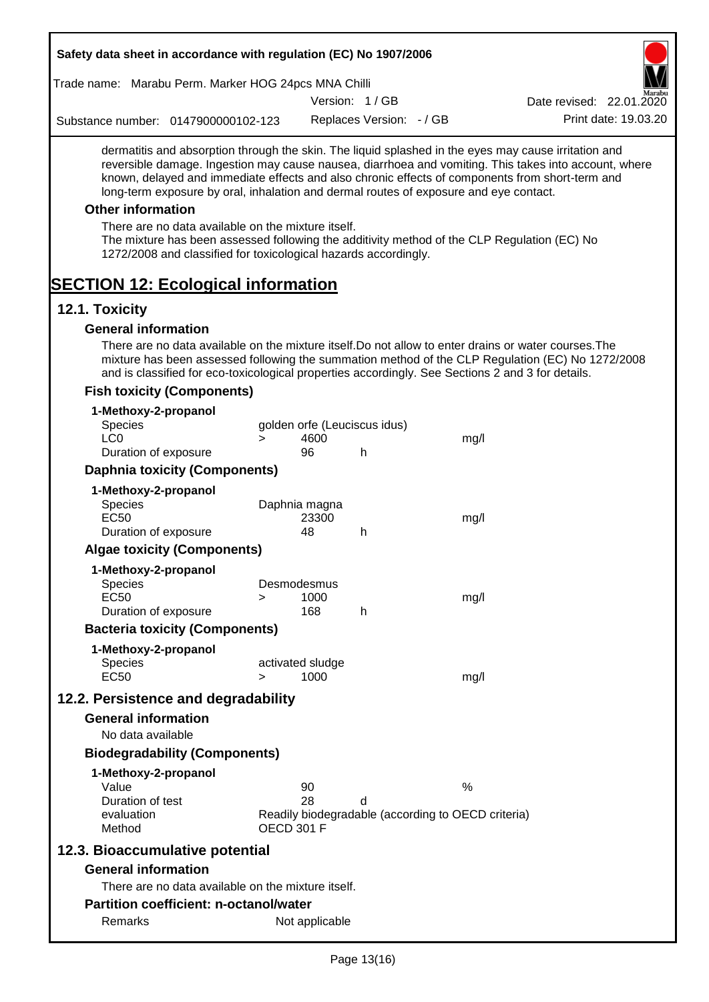| Safety data sheet in accordance with regulation (EC) No 1907/2006                                                                                                                                                                                                                                                                                                                                                                                                                                                                                    |        |                              |                          |                                                    |                                                                                                       |
|------------------------------------------------------------------------------------------------------------------------------------------------------------------------------------------------------------------------------------------------------------------------------------------------------------------------------------------------------------------------------------------------------------------------------------------------------------------------------------------------------------------------------------------------------|--------|------------------------------|--------------------------|----------------------------------------------------|-------------------------------------------------------------------------------------------------------|
| Trade name: Marabu Perm. Marker HOG 24pcs MNA Chilli                                                                                                                                                                                                                                                                                                                                                                                                                                                                                                 |        |                              |                          |                                                    |                                                                                                       |
|                                                                                                                                                                                                                                                                                                                                                                                                                                                                                                                                                      |        |                              | Version: 1/GB            |                                                    | Date revised: 22.01.2020                                                                              |
| Substance number: 0147900000102-123                                                                                                                                                                                                                                                                                                                                                                                                                                                                                                                  |        |                              | Replaces Version: - / GB |                                                    | Print date: 19.03.20                                                                                  |
| dermatitis and absorption through the skin. The liquid splashed in the eyes may cause irritation and<br>known, delayed and immediate effects and also chronic effects of components from short-term and<br>long-term exposure by oral, inhalation and dermal routes of exposure and eye contact.<br><b>Other information</b><br>There are no data available on the mixture itself.<br>The mixture has been assessed following the additivity method of the CLP Regulation (EC) No<br>1272/2008 and classified for toxicological hazards accordingly. |        |                              |                          |                                                    | reversible damage. Ingestion may cause nausea, diarrhoea and vomiting. This takes into account, where |
| <b>SECTION 12: Ecological information</b>                                                                                                                                                                                                                                                                                                                                                                                                                                                                                                            |        |                              |                          |                                                    |                                                                                                       |
| 12.1. Toxicity<br><b>General information</b>                                                                                                                                                                                                                                                                                                                                                                                                                                                                                                         |        |                              |                          |                                                    |                                                                                                       |
| There are no data available on the mixture itself. Do not allow to enter drains or water courses. The<br>and is classified for eco-toxicological properties accordingly. See Sections 2 and 3 for details.                                                                                                                                                                                                                                                                                                                                           |        |                              |                          |                                                    | mixture has been assessed following the summation method of the CLP Regulation (EC) No 1272/2008      |
| <b>Fish toxicity (Components)</b>                                                                                                                                                                                                                                                                                                                                                                                                                                                                                                                    |        |                              |                          |                                                    |                                                                                                       |
| 1-Methoxy-2-propanol<br>Species                                                                                                                                                                                                                                                                                                                                                                                                                                                                                                                      |        | golden orfe (Leuciscus idus) |                          |                                                    |                                                                                                       |
| LC <sub>0</sub>                                                                                                                                                                                                                                                                                                                                                                                                                                                                                                                                      | $\geq$ | 4600                         |                          | mg/l                                               |                                                                                                       |
| Duration of exposure                                                                                                                                                                                                                                                                                                                                                                                                                                                                                                                                 |        | 96                           | h                        |                                                    |                                                                                                       |
| <b>Daphnia toxicity (Components)</b>                                                                                                                                                                                                                                                                                                                                                                                                                                                                                                                 |        |                              |                          |                                                    |                                                                                                       |
| 1-Methoxy-2-propanol                                                                                                                                                                                                                                                                                                                                                                                                                                                                                                                                 |        |                              |                          |                                                    |                                                                                                       |
| Species                                                                                                                                                                                                                                                                                                                                                                                                                                                                                                                                              |        | Daphnia magna                |                          |                                                    |                                                                                                       |
| <b>EC50</b><br>Duration of exposure                                                                                                                                                                                                                                                                                                                                                                                                                                                                                                                  |        | 23300<br>48                  | h                        | mg/l                                               |                                                                                                       |
| <b>Algae toxicity (Components)</b>                                                                                                                                                                                                                                                                                                                                                                                                                                                                                                                   |        |                              |                          |                                                    |                                                                                                       |
|                                                                                                                                                                                                                                                                                                                                                                                                                                                                                                                                                      |        |                              |                          |                                                    |                                                                                                       |
| 1-Methoxy-2-propanol<br><b>Species</b>                                                                                                                                                                                                                                                                                                                                                                                                                                                                                                               |        | Desmodesmus                  |                          |                                                    |                                                                                                       |
| <b>EC50</b>                                                                                                                                                                                                                                                                                                                                                                                                                                                                                                                                          | >      | 1000                         |                          | mg/l                                               |                                                                                                       |
| Duration of exposure                                                                                                                                                                                                                                                                                                                                                                                                                                                                                                                                 |        | 168                          | h                        |                                                    |                                                                                                       |
| <b>Bacteria toxicity (Components)</b>                                                                                                                                                                                                                                                                                                                                                                                                                                                                                                                |        |                              |                          |                                                    |                                                                                                       |
| 1-Methoxy-2-propanol                                                                                                                                                                                                                                                                                                                                                                                                                                                                                                                                 |        |                              |                          |                                                    |                                                                                                       |
| <b>Species</b>                                                                                                                                                                                                                                                                                                                                                                                                                                                                                                                                       |        | activated sludge             |                          |                                                    |                                                                                                       |
| <b>EC50</b>                                                                                                                                                                                                                                                                                                                                                                                                                                                                                                                                          | $\geq$ | 1000                         |                          | mg/l                                               |                                                                                                       |
| 12.2. Persistence and degradability                                                                                                                                                                                                                                                                                                                                                                                                                                                                                                                  |        |                              |                          |                                                    |                                                                                                       |
| <b>General information</b>                                                                                                                                                                                                                                                                                                                                                                                                                                                                                                                           |        |                              |                          |                                                    |                                                                                                       |
| No data available                                                                                                                                                                                                                                                                                                                                                                                                                                                                                                                                    |        |                              |                          |                                                    |                                                                                                       |
| <b>Biodegradability (Components)</b>                                                                                                                                                                                                                                                                                                                                                                                                                                                                                                                 |        |                              |                          |                                                    |                                                                                                       |
| 1-Methoxy-2-propanol                                                                                                                                                                                                                                                                                                                                                                                                                                                                                                                                 |        |                              |                          |                                                    |                                                                                                       |
| Value                                                                                                                                                                                                                                                                                                                                                                                                                                                                                                                                                |        | 90                           |                          | $\%$                                               |                                                                                                       |
| Duration of test<br>evaluation                                                                                                                                                                                                                                                                                                                                                                                                                                                                                                                       |        | 28                           | d                        | Readily biodegradable (according to OECD criteria) |                                                                                                       |
| Method                                                                                                                                                                                                                                                                                                                                                                                                                                                                                                                                               |        | <b>OECD 301 F</b>            |                          |                                                    |                                                                                                       |
| 12.3. Bioaccumulative potential                                                                                                                                                                                                                                                                                                                                                                                                                                                                                                                      |        |                              |                          |                                                    |                                                                                                       |
| <b>General information</b>                                                                                                                                                                                                                                                                                                                                                                                                                                                                                                                           |        |                              |                          |                                                    |                                                                                                       |
| There are no data available on the mixture itself.                                                                                                                                                                                                                                                                                                                                                                                                                                                                                                   |        |                              |                          |                                                    |                                                                                                       |
| <b>Partition coefficient: n-octanol/water</b>                                                                                                                                                                                                                                                                                                                                                                                                                                                                                                        |        |                              |                          |                                                    |                                                                                                       |
| Remarks                                                                                                                                                                                                                                                                                                                                                                                                                                                                                                                                              |        | Not applicable               |                          |                                                    |                                                                                                       |
|                                                                                                                                                                                                                                                                                                                                                                                                                                                                                                                                                      |        |                              |                          |                                                    |                                                                                                       |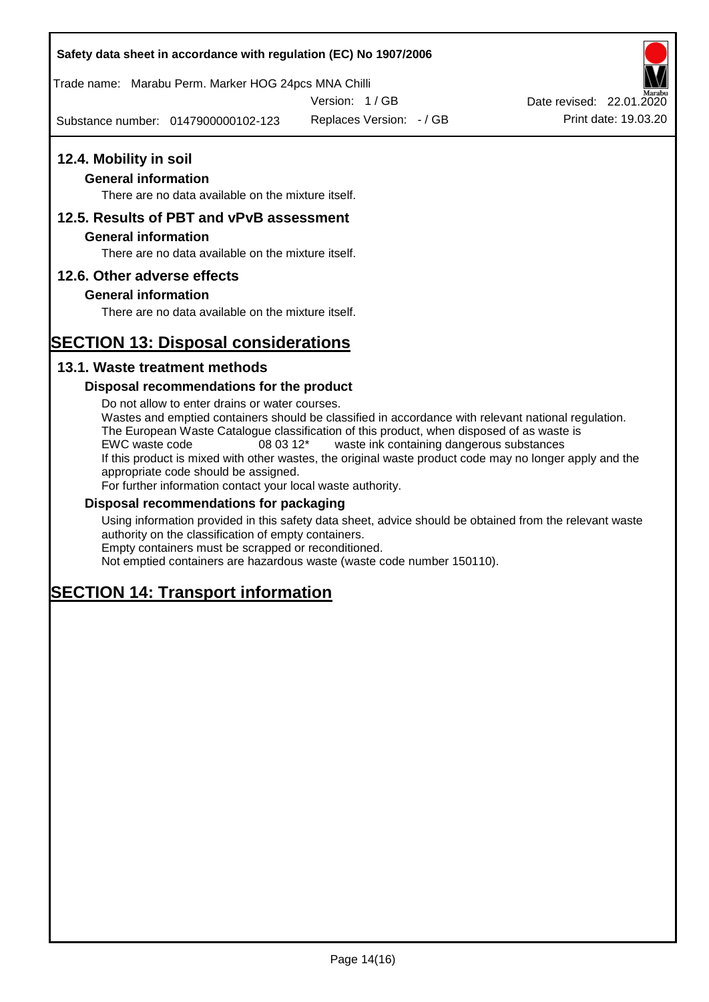## **Safety data sheet in accordance with regulation (EC) No 1907/2006**

Trade name: Marabu Perm. Marker HOG 24pcs MNA Chilli

Version: 1 / GB

Substance number: 0147900000102-123

Replaces Version: - / GB Print date: 19.03.20 Date revised: 22.01.2020

## **12.4. Mobility in soil**

## **General information**

There are no data available on the mixture itself.

## **12.5. Results of PBT and vPvB assessment**

### **General information**

There are no data available on the mixture itself.

## **12.6. Other adverse effects**

## **General information**

There are no data available on the mixture itself.

# **SECTION 13: Disposal considerations**

## **13.1. Waste treatment methods**

## **Disposal recommendations for the product**

Do not allow to enter drains or water courses. Wastes and emptied containers should be classified in accordance with relevant national regulation. The European Waste Catalogue classification of this product, when disposed of as waste is EWC waste code 08 03 12\* waste ink containing dangerous substances If this product is mixed with other wastes, the original waste product code may no longer apply and the appropriate code should be assigned. For further information contact your local waste authority.

### **Disposal recommendations for packaging**

Using information provided in this safety data sheet, advice should be obtained from the relevant waste authority on the classification of empty containers. Empty containers must be scrapped or reconditioned.

Not emptied containers are hazardous waste (waste code number 150110).

# **SECTION 14: Transport information**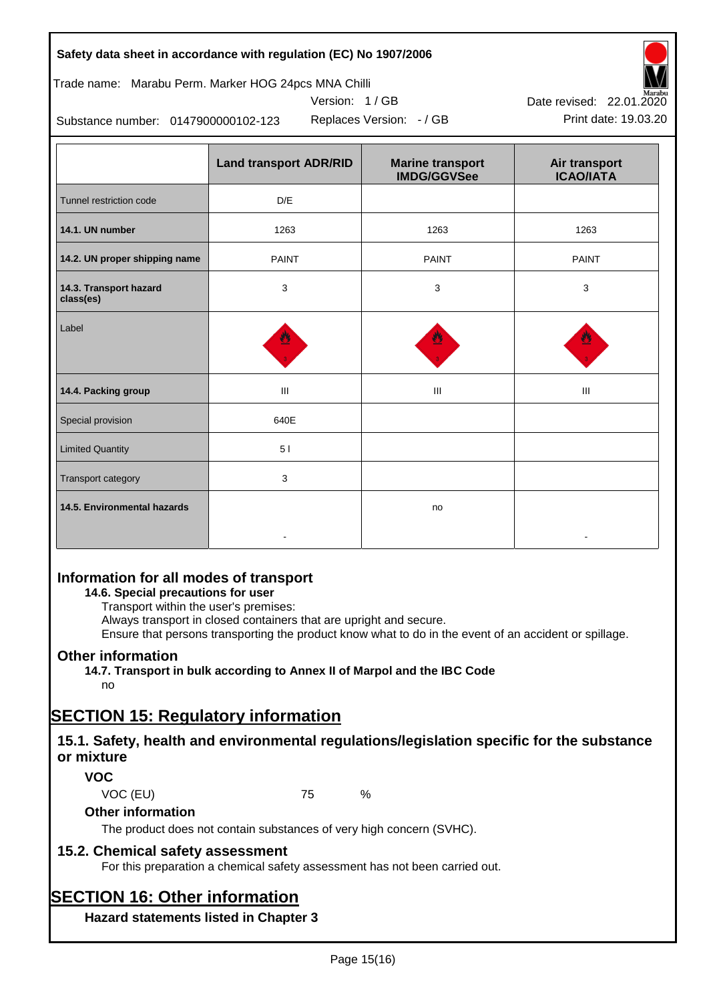| Safety data sheet in accordance with regulation (EC) No 1907/2006 |  |
|-------------------------------------------------------------------|--|
|-------------------------------------------------------------------|--|

## Trade name: Marabu Perm. Marker HOG 24pcs MNA Chilli

Version: 1 / GB



Substance number: 0147900000102-123

|                                     | <b>Land transport ADR/RID</b> | <b>Marine transport</b><br><b>IMDG/GGVSee</b> | Air transport<br><b>ICAO/IATA</b> |
|-------------------------------------|-------------------------------|-----------------------------------------------|-----------------------------------|
| Tunnel restriction code             | D/E                           |                                               |                                   |
| 14.1. UN number                     | 1263                          | 1263                                          | 1263                              |
| 14.2. UN proper shipping name       | <b>PAINT</b>                  | <b>PAINT</b>                                  | <b>PAINT</b>                      |
| 14.3. Transport hazard<br>class(es) | 3                             | 3                                             | 3                                 |
| Label                               |                               |                                               |                                   |
| 14.4. Packing group                 | Ш                             | Ш                                             | Ш                                 |
| Special provision                   | 640E                          |                                               |                                   |
| <b>Limited Quantity</b>             | 51                            |                                               |                                   |
| Transport category                  | 3                             |                                               |                                   |
| 14.5. Environmental hazards         |                               | no                                            |                                   |

## **Information for all modes of transport**

## **14.6. Special precautions for user**

Transport within the user's premises:

Always transport in closed containers that are upright and secure.

Ensure that persons transporting the product know what to do in the event of an accident or spillage.

## **Other information**

**14.7. Transport in bulk according to Annex II of Marpol and the IBC Code**

# no

# **SECTION 15: Regulatory information**

## **15.1. Safety, health and environmental regulations/legislation specific for the substance or mixture**

## **VOC**

VOC (EU) 75 %

## **Other information**

The product does not contain substances of very high concern (SVHC).

## **15.2. Chemical safety assessment**

For this preparation a chemical safety assessment has not been carried out.

# **SECTION 16: Other information**

**Hazard statements listed in Chapter 3**